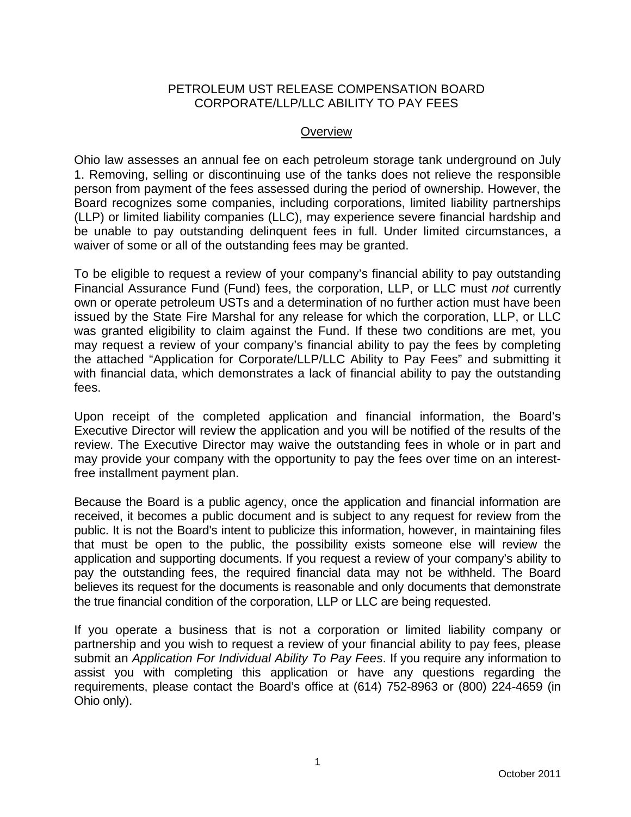### PETROLEUM UST RELEASE COMPENSATION BOARD CORPORATE/LLP/LLC ABILITY TO PAY FEES

#### **Overview**

Ohio law assesses an annual fee on each petroleum storage tank underground on July 1. Removing, selling or discontinuing use of the tanks does not relieve the responsible person from payment of the fees assessed during the period of ownership. However, the Board recognizes some companies, including corporations, limited liability partnerships (LLP) or limited liability companies (LLC), may experience severe financial hardship and be unable to pay outstanding delinquent fees in full. Under limited circumstances, a waiver of some or all of the outstanding fees may be granted.

To be eligible to request a review of your company's financial ability to pay outstanding Financial Assurance Fund (Fund) fees, the corporation, LLP, or LLC must *not* currently own or operate petroleum USTs and a determination of no further action must have been issued by the State Fire Marshal for any release for which the corporation, LLP, or LLC was granted eligibility to claim against the Fund. If these two conditions are met, you may request a review of your company's financial ability to pay the fees by completing the attached "Application for Corporate/LLP/LLC Ability to Pay Fees" and submitting it with financial data, which demonstrates a lack of financial ability to pay the outstanding fees.

Upon receipt of the completed application and financial information, the Board's Executive Director will review the application and you will be notified of the results of the review. The Executive Director may waive the outstanding fees in whole or in part and may provide your company with the opportunity to pay the fees over time on an interestfree installment payment plan.

Because the Board is a public agency, once the application and financial information are received, it becomes a public document and is subject to any request for review from the public. It is not the Board's intent to publicize this information, however, in maintaining files that must be open to the public, the possibility exists someone else will review the application and supporting documents. If you request a review of your company's ability to pay the outstanding fees, the required financial data may not be withheld. The Board believes its request for the documents is reasonable and only documents that demonstrate the true financial condition of the corporation, LLP or LLC are being requested.

If you operate a business that is not a corporation or limited liability company or partnership and you wish to request a review of your financial ability to pay fees, please submit an *[Application For Individual Ability To Pay Fees](http://www.petroboard.org/Pdfs/IndAbilityToPay.pdf)*. If you require any information to assist you with completing this application or have any questions regarding the requirements, please contact the Board's office at (614) 752-8963 or (800) 224-4659 (in Ohio only).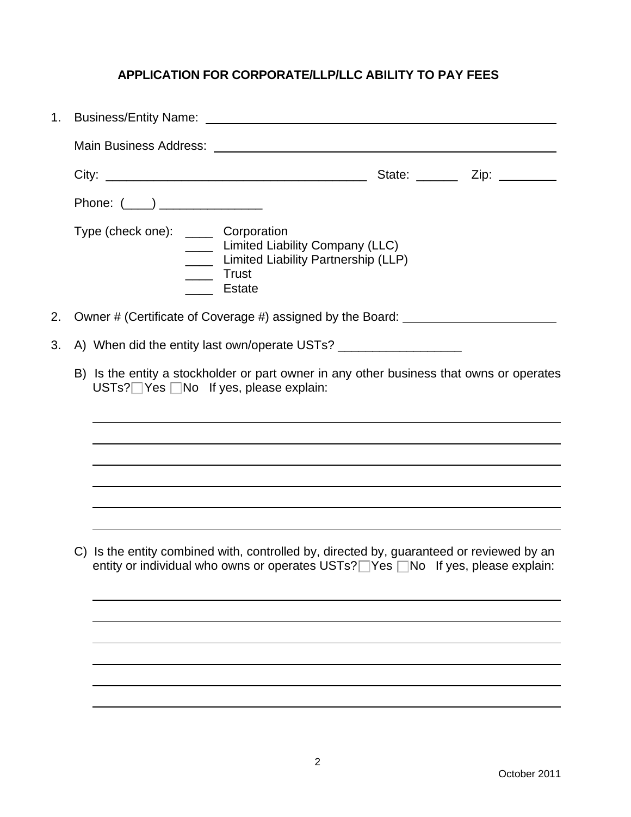# **APPLICATION FOR CORPORATE/LLP/LLC ABILITY TO PAY FEES**

| 1. |                                                                                  |                                               |                                                                                                                     |                                                                                                                                                                             |  |  |  |  |
|----|----------------------------------------------------------------------------------|-----------------------------------------------|---------------------------------------------------------------------------------------------------------------------|-----------------------------------------------------------------------------------------------------------------------------------------------------------------------------|--|--|--|--|
|    |                                                                                  |                                               |                                                                                                                     |                                                                                                                                                                             |  |  |  |  |
|    |                                                                                  |                                               |                                                                                                                     |                                                                                                                                                                             |  |  |  |  |
|    |                                                                                  | Phone: $(\_\_)$ _______________               |                                                                                                                     |                                                                                                                                                                             |  |  |  |  |
|    |                                                                                  | Type (check one): ______ Corporation          | <b>Limited Liability Company (LLC)</b><br>Limited Liability Partnership (LLP)<br>_____ Trust<br><u>_____</u> Estate |                                                                                                                                                                             |  |  |  |  |
| 2. | Owner # (Certificate of Coverage #) assigned by the Board: _____________________ |                                               |                                                                                                                     |                                                                                                                                                                             |  |  |  |  |
| 3. |                                                                                  |                                               |                                                                                                                     | A) When did the entity last own/operate USTs?                                                                                                                               |  |  |  |  |
|    |                                                                                  | $USTs?$ Yes $\Box$ No If yes, please explain: | B) Is the entity a stockholder or part owner in any other business that owns or operates                            |                                                                                                                                                                             |  |  |  |  |
|    |                                                                                  |                                               |                                                                                                                     |                                                                                                                                                                             |  |  |  |  |
|    |                                                                                  |                                               |                                                                                                                     |                                                                                                                                                                             |  |  |  |  |
|    |                                                                                  |                                               |                                                                                                                     |                                                                                                                                                                             |  |  |  |  |
|    |                                                                                  |                                               |                                                                                                                     |                                                                                                                                                                             |  |  |  |  |
|    |                                                                                  |                                               |                                                                                                                     | C) Is the entity combined with, controlled by, directed by, guaranteed or reviewed by an<br>entity or individual who owns or operates USTs? Ves DNo If yes, please explain: |  |  |  |  |
|    |                                                                                  |                                               |                                                                                                                     |                                                                                                                                                                             |  |  |  |  |
|    |                                                                                  |                                               |                                                                                                                     |                                                                                                                                                                             |  |  |  |  |
|    |                                                                                  |                                               |                                                                                                                     |                                                                                                                                                                             |  |  |  |  |
|    |                                                                                  |                                               |                                                                                                                     |                                                                                                                                                                             |  |  |  |  |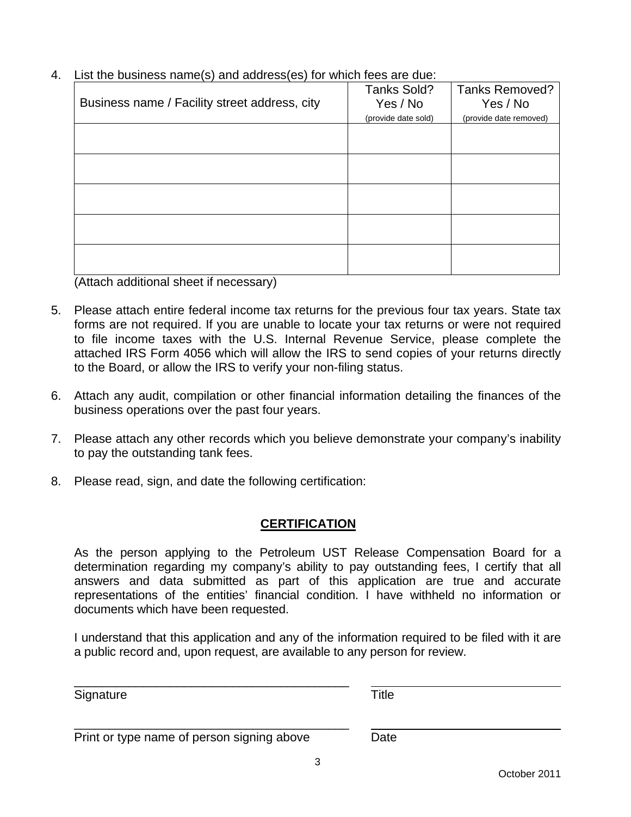| 4. List the business name(s) and address(es) for which fees are due: |  |  |
|----------------------------------------------------------------------|--|--|
|                                                                      |  |  |

|                                               | Tanks Sold?         | <b>Tanks Removed?</b>  |
|-----------------------------------------------|---------------------|------------------------|
| Business name / Facility street address, city | Yes / No            | Yes / No               |
|                                               | (provide date sold) | (provide date removed) |
|                                               |                     |                        |
|                                               |                     |                        |
|                                               |                     |                        |
|                                               |                     |                        |
|                                               |                     |                        |
|                                               |                     |                        |
|                                               |                     |                        |
|                                               |                     |                        |
|                                               |                     |                        |
|                                               |                     |                        |

(Attach additional sheet if necessary)

- 5. Please attach entire federal income tax returns for the previous four tax years. State tax forms are not required. If you are unable to locate your tax returns or were not required to file income taxes with the U.S. Internal Revenue Service, please complete the attached IRS Form 4056 which will allow the IRS to send copies of your returns directly to the Board, or allow the IRS to verify your non-filing status.
- 6. Attach any audit, compilation or other financial information detailing the finances of the business operations over the past four years.
- 7. Please attach any other records which you believe demonstrate your company's inability to pay the outstanding tank fees.
- 8. Please read, sign, and date the following certification:

## **CERTIFICATION**

As the person applying to the Petroleum UST Release Compensation Board for a determination regarding my company's ability to pay outstanding fees, I certify that all answers and data submitted as part of this application are true and accurate representations of the entities' financial condition. I have withheld no information or documents which have been requested.

I understand that this application and any of the information required to be filed with it are a public record and, upon request, are available to any person for review.

Signature Title

|  | Print or type name of person signing above | Date |
|--|--------------------------------------------|------|
|--|--------------------------------------------|------|

\_\_\_\_\_\_\_\_\_\_\_\_\_\_\_\_\_\_\_\_\_\_\_\_\_\_\_\_\_\_\_\_\_\_\_\_\_\_\_\_

 $\overline{\phantom{a}}$  ,  $\overline{\phantom{a}}$  ,  $\overline{\phantom{a}}$  ,  $\overline{\phantom{a}}$  ,  $\overline{\phantom{a}}$  ,  $\overline{\phantom{a}}$  ,  $\overline{\phantom{a}}$  ,  $\overline{\phantom{a}}$  ,  $\overline{\phantom{a}}$  ,  $\overline{\phantom{a}}$  ,  $\overline{\phantom{a}}$  ,  $\overline{\phantom{a}}$  ,  $\overline{\phantom{a}}$  ,  $\overline{\phantom{a}}$  ,  $\overline{\phantom{a}}$  ,  $\overline{\phantom{a}}$ 

3